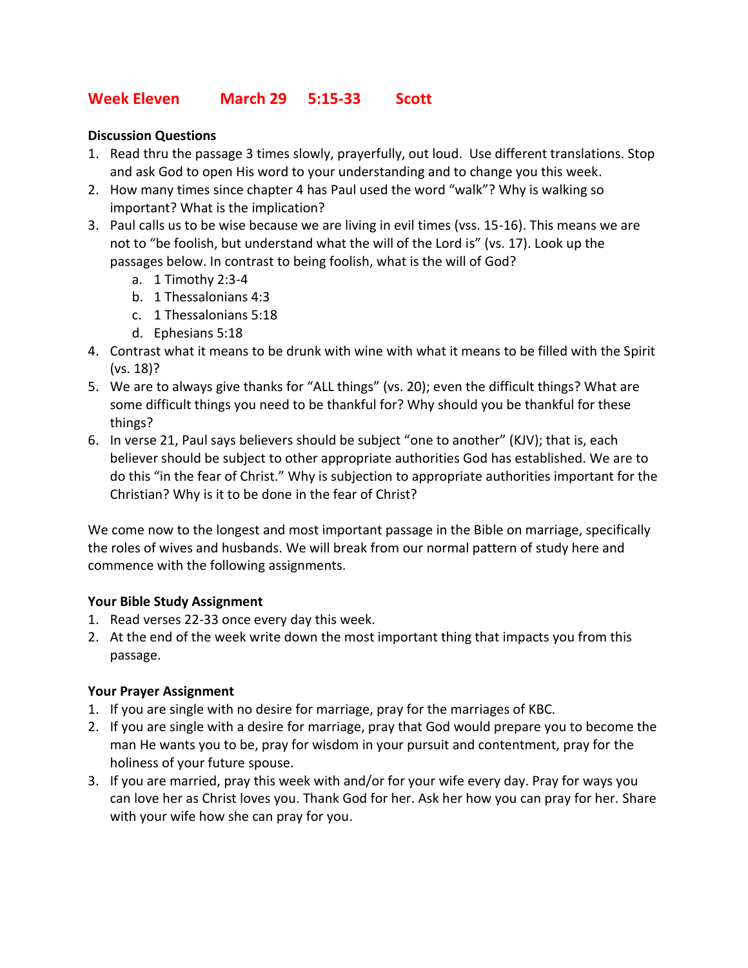# **Week Eleven March 29 5:15-33 Scott**

## **Discussion Questions**

- 1. Read thru the passage 3 times slowly, prayerfully, out loud. Use different translations. Stop and ask God to open His word to your understanding and to change you this week.
- 2. How many times since chapter 4 has Paul used the word "walk"? Why is walking so important? What is the implication?
- 3. Paul calls us to be wise because we are living in evil times (vss. 15-16). This means we are not to "be foolish, but understand what the will of the Lord is" (vs. 17). Look up the passages below. In contrast to being foolish, what is the will of God?
	- a. 1 Timothy 2:3-4
	- b. 1 Thessalonians 4:3
	- c. 1 Thessalonians 5:18
	- d. Ephesians 5:18
- 4. Contrast what it means to be drunk with wine with what it means to be filled with the Spirit (vs. 18)?
- 5. We are to always give thanks for "ALL things" (vs. 20); even the difficult things? What are some difficult things you need to be thankful for? Why should you be thankful for these things?
- 6. In verse 21, Paul says believers should be subject "one to another" (KJV); that is, each believer should be subject to other appropriate authorities God has established. We are to do this "in the fear of Christ." Why is subjection to appropriate authorities important for the Christian? Why is it to be done in the fear of Christ?

We come now to the longest and most important passage in the Bible on marriage, specifically the roles of wives and husbands. We will break from our normal pattern of study here and commence with the following assignments.

## **Your Bible Study Assignment**

- 1. Read verses 22-33 once every day this week.
- 2. At the end of the week write down the most important thing that impacts you from this passage.

## **Your Prayer Assignment**

- 1. If you are single with no desire for marriage, pray for the marriages of KBC.
- 2. If you are single with a desire for marriage, pray that God would prepare you to become the man He wants you to be, pray for wisdom in your pursuit and contentment, pray for the holiness of your future spouse.
- 3. If you are married, pray this week with and/or for your wife every day. Pray for ways you can love her as Christ loves you. Thank God for her. Ask her how you can pray for her. Share with your wife how she can pray for you.